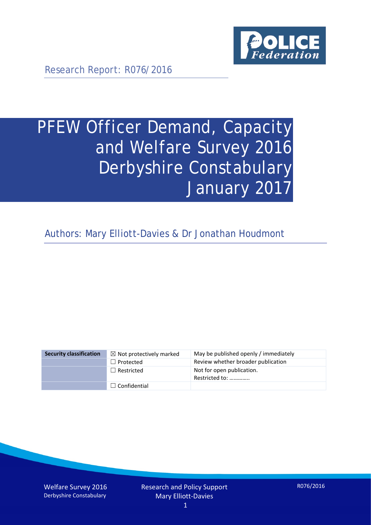

Research Report: R076/2016

# PFEW Officer Demand, Capacity and Welfare Survey 2016 Derbyshire Constabulary January 2017

Authors: Mary Elliott-Davies & Dr Jonathan Houdmont

| <b>Security classification</b> | $\boxtimes$ Not protectively marked | May be published openly / immediately       |
|--------------------------------|-------------------------------------|---------------------------------------------|
|                                | $\Box$ Protected                    | Review whether broader publication          |
|                                | $\Box$ Restricted                   | Not for open publication.<br>Restricted to: |
|                                | $\Box$ Confidential                 |                                             |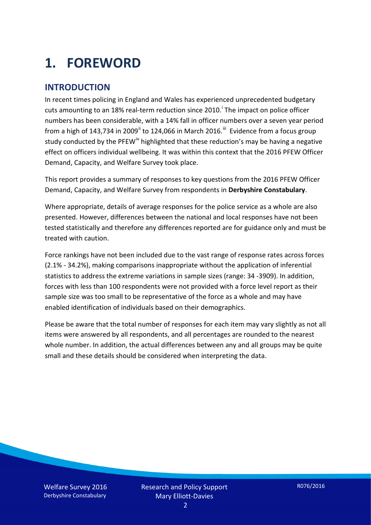# **1. FOREWORD**

#### **INTRODUCTION**

In recent times policing in England and Wales has experienced unprecedented budgetary cuts amount[i](#page-15-0)ng to an 18% real-term reduction since 2010.<sup>1</sup> The impact on police officer numbers has been considerable, with a 14% fall in officer numbers over a seven year period from a high of 143,734 in 2009<sup>[ii](#page-15-1)</sup> to 124,066 in March 2016.<sup>[iii](#page-15-2)</sup> Evidence from a focus group study conducted by the PFEW<sup>[iv](#page-15-3)</sup> highlighted that these reduction's may be having a negative effect on officers individual wellbeing. It was within this context that the 2016 PFEW Officer Demand, Capacity, and Welfare Survey took place.

This report provides a summary of responses to key questions from the 2016 PFEW Officer Demand, Capacity, and Welfare Survey from respondents in **Derbyshire Constabulary**.

Where appropriate, details of average responses for the police service as a whole are also presented. However, differences between the national and local responses have not been tested statistically and therefore any differences reported are for guidance only and must be treated with caution.

Force rankings have not been included due to the vast range of response rates across forces (2.1% - 34.2%), making comparisons inappropriate without the application of inferential statistics to address the extreme variations in sample sizes (range: 34 -3909). In addition, forces with less than 100 respondents were not provided with a force level report as their sample size was too small to be representative of the force as a whole and may have enabled identification of individuals based on their demographics.

Please be aware that the total number of responses for each item may vary slightly as not all items were answered by all respondents, and all percentages are rounded to the nearest whole number. In addition, the actual differences between any and all groups may be quite small and these details should be considered when interpreting the data.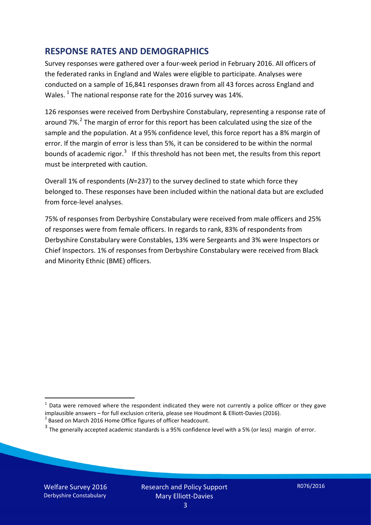#### **RESPONSE RATES AND DEMOGRAPHICS**

Survey responses were gathered over a four-week period in February 2016. All officers of the federated ranks in England and Wales were eligible to participate. Analyses were conducted on a sample of 16,841 responses drawn from all 43 forces across England and Wales.  $^1$  $^1$  The national response rate for the 2016 survey was 14%.

126 responses were received from Derbyshire Constabulary, representing a response rate of around 7%.<sup>[2](#page-2-1)</sup> The margin of error for this report has been calculated using the size of the sample and the population. At a 95% confidence level, this force report has a 8% margin of error. If the margin of error is less than 5%, it can be considered to be within the normal bounds of academic rigor.<sup>[3](#page-2-2)</sup> If this threshold has not been met, the results from this report must be interpreted with caution.

Overall 1% of respondents (*N*=237) to the survey declined to state which force they belonged to. These responses have been included within the national data but are excluded from force-level analyses.

75% of responses from Derbyshire Constabulary were received from male officers and 25% of responses were from female officers. In regards to rank, 83% of respondents from Derbyshire Constabulary were Constables, 13% were Sergeants and 3% were Inspectors or Chief Inspectors. 1% of responses from Derbyshire Constabulary were received from Black and Minority Ethnic (BME) officers.

<u>.</u>

<span id="page-2-0"></span> $1$  Data were removed where the respondent indicated they were not currently a police officer or they gave implausible answers – for full exclusion criteria, please see Houdmont & Elliott-Davies (2016).<br><sup>2</sup> Based on March 2016 Home Office figures of officer headcount.

<span id="page-2-1"></span>

<span id="page-2-2"></span> $3$  The generally accepted academic standards is a 95% confidence level with a 5% (or less) margin of error.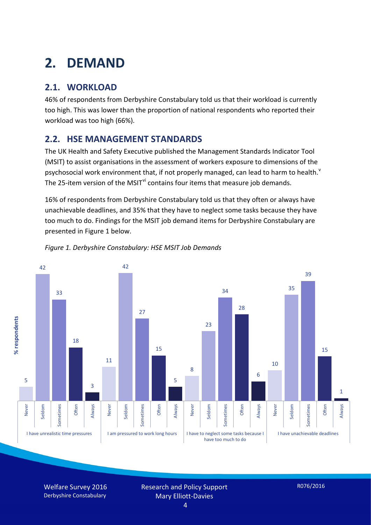# **2. DEMAND**

## **2.1. WORKLOAD**

46% of respondents from Derbyshire Constabulary told us that their workload is currently too high. This was lower than the proportion of national respondents who reported their workload was too high (66%).

#### **2.2. HSE MANAGEMENT STANDARDS**

The UK Health and Safety Executive published the Management Standards Indicator Tool (MSIT) to assist organisations in the assessment of workers exposure to dimensions of the psychosocial work en[v](#page-15-4)ironment that, if not properly managed, can lead to harm to health.<sup>v</sup> The 25-item version of the MSIT<sup>[vi](#page-15-5)</sup> contains four items that measure job demands.

16% of respondents from Derbyshire Constabulary told us that they often or always have unachievable deadlines, and 35% that they have to neglect some tasks because they have too much to do. Findings for the MSIT job demand items for Derbyshire Constabulary are presented in Figure 1 below.



#### *Figure 1. Derbyshire Constabulary: HSE MSIT Job Demands*

Welfare Survey 2016 Derbyshire Constabulary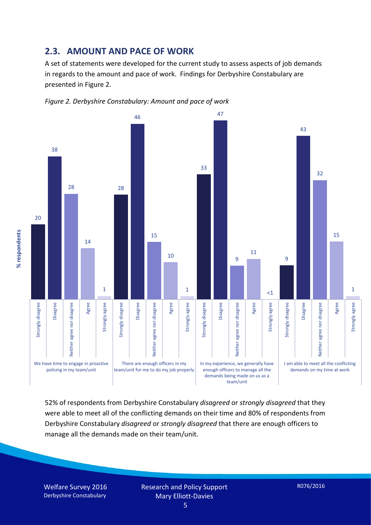#### **2.3. AMOUNT AND PACE OF WORK**

A set of statements were developed for the current study to assess aspects of job demands in regards to the amount and pace of work. Findings for Derbyshire Constabulary are presented in Figure 2.





52% of respondents from Derbyshire Constabulary *disagreed* or *strongly disagreed* that they were able to meet all of the conflicting demands on their time and 80% of respondents from Derbyshire Constabulary *disagreed* or *strongly disagreed* that there are enough officers to manage all the demands made on their team/unit.

Welfare Survey 2016 Derbyshire Constabulary

Research and Policy Support Mary Elliott-Davies

% respondents **% respondents**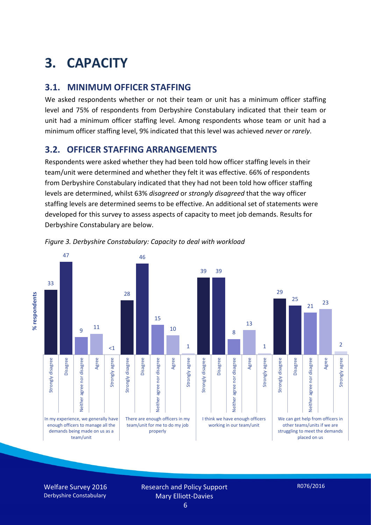# **3. CAPACITY**

#### **3.1. MINIMUM OFFICER STAFFING**

We asked respondents whether or not their team or unit has a minimum officer staffing level and 75% of respondents from Derbyshire Constabulary indicated that their team or unit had a minimum officer staffing level. Among respondents whose team or unit had a minimum officer staffing level, 9% indicated that this level was achieved *never* or *rarely*.

#### **3.2. OFFICER STAFFING ARRANGEMENTS**

Respondents were asked whether they had been told how officer staffing levels in their team/unit were determined and whether they felt it was effective. 66% of respondents from Derbyshire Constabulary indicated that they had not been told how officer staffing levels are determined, whilst 63% *disagreed* or *strongly disagreed* that the way officer staffing levels are determined seems to be effective. An additional set of statements were developed for this survey to assess aspects of capacity to meet job demands. Results for Derbyshire Constabulary are below.



*Figure 3. Derbyshire Constabulary: Capacity to deal with workload*

Welfare Survey 2016 Derbyshire Constabulary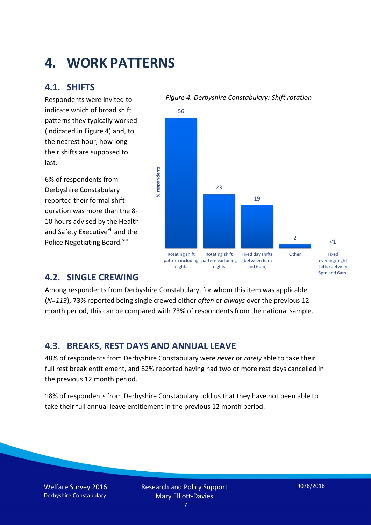## **4. WORK PATTERNS**

#### **4.1. SHIFTS**

Respondents were invited to indicate which of broad shift patterns they typically worked (indicated in Figure 4) and, to the nearest hour, how long their shifts are supposed to last.

6% of respondents from Derbyshire Constabulary reported their formal shift duration was more than the 8- 10 hours advised by the Health and Safety Executive<sup>[vii](#page-15-6)</sup> and the Police Negotiating Board.<sup>[viii](#page-15-7)</sup>

#### *Figure 4. Derbyshire Constabulary: Shift rotation*



#### **4.2. SINGLE CREWING**

Among respondents from Derbyshire Constabulary, for whom this item was applicable (*N*=*113*), 73% reported being single crewed either *often* or *always* over the previous 12 month period, this can be compared with 73% of respondents from the national sample.

#### **4.3. BREAKS, REST DAYS AND ANNUAL LEAVE**

48% of respondents from Derbyshire Constabulary were *never* or *rarely* able to take their full rest break entitlement, and 82% reported having had two or more rest days cancelled in the previous 12 month period.

18% of respondents from Derbyshire Constabulary told us that they have not been able to take their full annual leave entitlement in the previous 12 month period.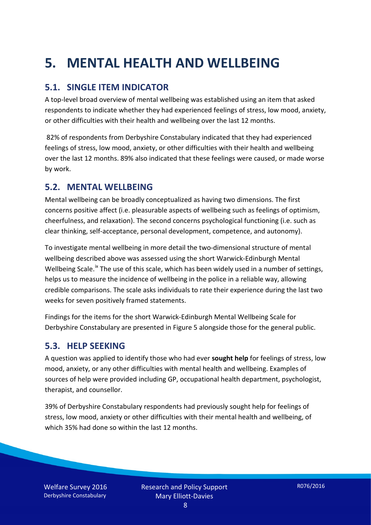# **5. MENTAL HEALTH AND WELLBEING**

#### **5.1. SINGLE ITEM INDICATOR**

A top-level broad overview of mental wellbeing was established using an item that asked respondents to indicate whether they had experienced feelings of stress, low mood, anxiety, or other difficulties with their health and wellbeing over the last 12 months.

82% of respondents from Derbyshire Constabulary indicated that they had experienced feelings of stress, low mood, anxiety, or other difficulties with their health and wellbeing over the last 12 months. 89% also indicated that these feelings were caused, or made worse by work.

#### **5.2. MENTAL WELLBEING**

Mental wellbeing can be broadly conceptualized as having two dimensions. The first concerns positive affect (i.e. pleasurable aspects of wellbeing such as feelings of optimism, cheerfulness, and relaxation). The second concerns psychological functioning (i.e. such as clear thinking, self-acceptance, personal development, competence, and autonomy).

To investigate mental wellbeing in more detail the two-dimensional structure of mental wellbeing described above was assessed using the short Warwick-Edinburgh Mental Wellbeing Scale.<sup>[ix](#page-15-8)</sup> The use of this scale, which has been widely used in a number of settings, helps us to measure the incidence of wellbeing in the police in a reliable way, allowing credible comparisons. The scale asks individuals to rate their experience during the last two weeks for seven positively framed statements.

Findings for the items for the short Warwick-Edinburgh Mental Wellbeing Scale for Derbyshire Constabulary are presented in Figure 5 alongside those for the general public.

#### **5.3. HELP SEEKING**

A question was applied to identify those who had ever **sought help** for feelings of stress, low mood, anxiety, or any other difficulties with mental health and wellbeing. Examples of sources of help were provided including GP, occupational health department, psychologist, therapist, and counsellor.

39% of Derbyshire Constabulary respondents had previously sought help for feelings of stress, low mood, anxiety or other difficulties with their mental health and wellbeing, of which 35% had done so within the last 12 months.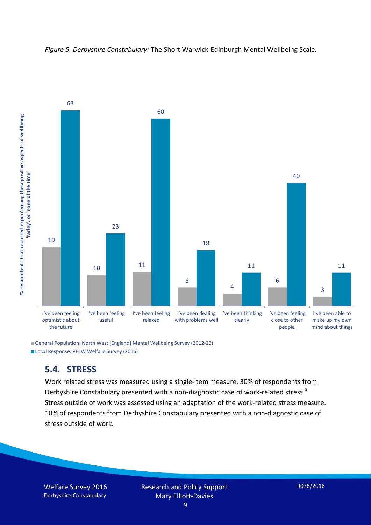



General Population: North West [England] Mental Wellbeing Survey (2012-23) Local Response: PFEW Welfare Survey (2016)

#### **5.4. STRESS**

Work related stress was measured using a single-item measure. 30% of respondents from Derbyshire Constabulary presented with a non-diagnostic case of work-related stress.<sup>[x](#page-15-9)</sup> Stress outside of work was assessed using an adaptation of the work-related stress measure. 10% of respondents from Derbyshire Constabulary presented with a non-diagnostic case of stress outside of work.

Welfare Survey 2016 Derbyshire Constabulary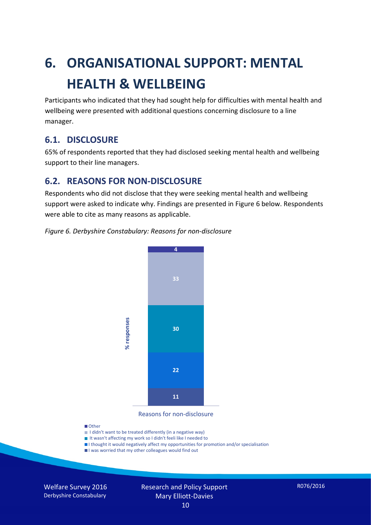# **6. ORGANISATIONAL SUPPORT: MENTAL HEALTH & WELLBEING**

Participants who indicated that they had sought help for difficulties with mental health and wellbeing were presented with additional questions concerning disclosure to a line manager.

#### **6.1. DISCLOSURE**

65% of respondents reported that they had disclosed seeking mental health and wellbeing support to their line managers.

#### **6.2. REASONS FOR NON-DISCLOSURE**

Respondents who did not disclose that they were seeking mental health and wellbeing support were asked to indicate why. Findings are presented in Figure 6 below. Respondents were able to cite as many reasons as applicable.





Reasons for non-disclosure

#### **D**Other

- I didn't want to be treated differently (in a negative way)
- I It wasn't affecting my work so I didn't feeli like I needed to
- I thought it would negatively affect my opportunities for promotion and/or specialisation
- I was worried that my other colleagues would find out

Welfare Survey 2016 Derbyshire Constabulary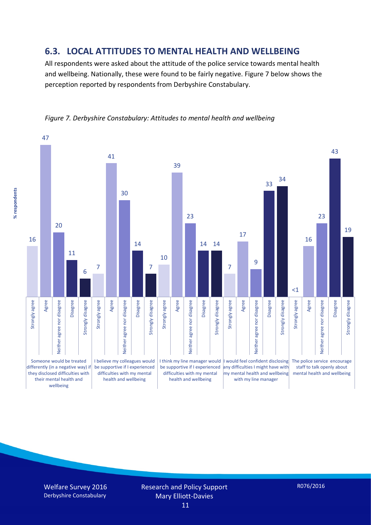#### **6.3. LOCAL ATTITUDES TO MENTAL HEALTH AND WELLBEING**

All respondents were asked about the attitude of the police service towards mental health and wellbeing. Nationally, these were found to be fairly negative. Figure 7 below shows the perception reported by respondents from Derbyshire Constabulary.





% respondents **% respondents**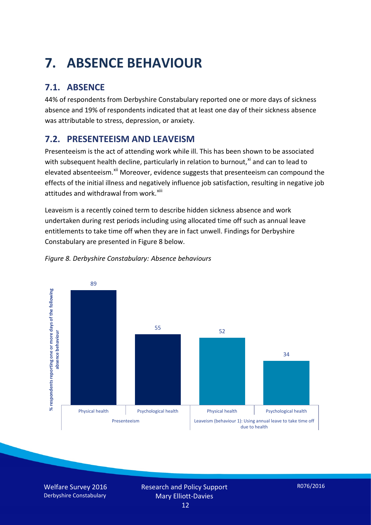# **7. ABSENCE BEHAVIOUR**

## **7.1. ABSENCE**

44% of respondents from Derbyshire Constabulary reported one or more days of sickness absence and 19% of respondents indicated that at least one day of their sickness absence was attributable to stress, depression, or anxiety.

## **7.2. PRESENTEEISM AND LEAVEISM**

Presenteeism is the act of attending work while ill. This has been shown to be associated with subsequent health decline, particularly in relation to burnout. $^{x_i}$  and can to lead to elevated absenteeism.<sup>[xii](#page-16-1)</sup> Moreover, evidence suggests that presenteeism can compound the effects of the initial illness and negatively influence job satisfaction, resulting in negative job attitudes and withdrawal from work.<sup>[xiii](#page-16-2)</sup>

Leaveism is a recently coined term to describe hidden sickness absence and work undertaken during rest periods including using allocated time off such as annual leave entitlements to take time off when they are in fact unwell. Findings for Derbyshire Constabulary are presented in Figure 8 below.



#### *Figure 8. Derbyshire Constabulary: Absence behaviours*

Welfare Survey 2016 Derbyshire Constabulary

Research and Policy Support Mary Elliott-Davies 12

R076/2016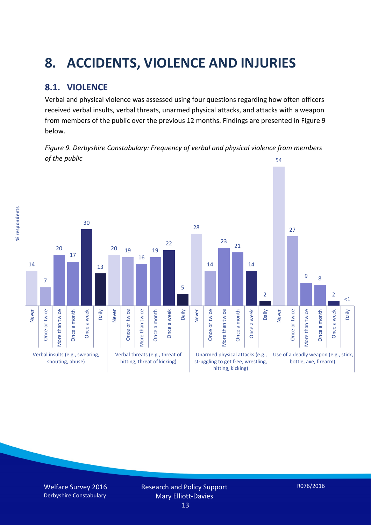# **8. ACCIDENTS, VIOLENCE AND INJURIES**

### **8.1. VIOLENCE**

% respondents **% respondents**

Verbal and physical violence was assessed using four questions regarding how often officers received verbal insults, verbal threats, unarmed physical attacks, and attacks with a weapon from members of the public over the previous 12 months. Findings are presented in Figure 9 below.

*Figure 9. Derbyshire Constabulary: Frequency of verbal and physical violence from members of the public* 54

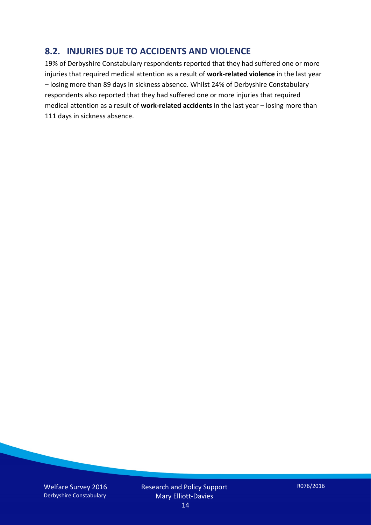#### **8.2. INJURIES DUE TO ACCIDENTS AND VIOLENCE**

19% of Derbyshire Constabulary respondents reported that they had suffered one or more injuries that required medical attention as a result of **work-related violence** in the last year – losing more than 89 days in sickness absence. Whilst 24% of Derbyshire Constabulary respondents also reported that they had suffered one or more injuries that required medical attention as a result of **work-related accidents** in the last year – losing more than 111 days in sickness absence.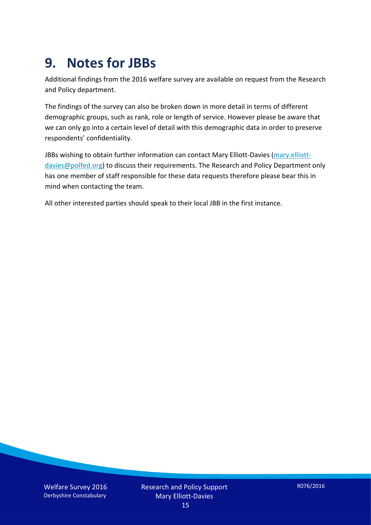## **9. Notes for JBBs**

Additional findings from the 2016 welfare survey are available on request from the Research and Policy department.

The findings of the survey can also be broken down in more detail in terms of different demographic groups, such as rank, role or length of service. However please be aware that we can only go into a certain level of detail with this demographic data in order to preserve respondents' confidentiality.

JBBs wishing to obtain further information can contact Mary Elliott-Davies [\(mary.elliott](mailto:mary.elliott-davies@polfed.org)[davies@polfed.org\)](mailto:mary.elliott-davies@polfed.org) to discuss their requirements. The Research and Policy Department only has one member of staff responsible for these data requests therefore please bear this in mind when contacting the team.

All other interested parties should speak to their local JBB in the first instance.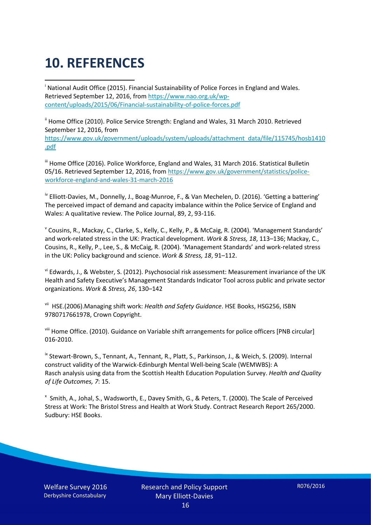# **10. REFERENCES**

<span id="page-15-0"></span>i National Audit Office (2015). Financial Sustainability of Police Forces in England and Wales. Retrieved September 12, 2016, fro[m https://www.nao.org.uk/wp](https://www.nao.org.uk/wp-content/uploads/2015/06/Financial-sustainability-of-police-forces.pdf)[content/uploads/2015/06/Financial-sustainability-of-police-forces.pdf](https://www.nao.org.uk/wp-content/uploads/2015/06/Financial-sustainability-of-police-forces.pdf)

<span id="page-15-1"></span><sup>ii</sup> Home Office (2010). Police Service Strength: England and Wales, 31 March 2010. Retrieved September 12, 2016, from [https://www.gov.uk/government/uploads/system/uploads/attachment\\_data/file/115745/hosb1410](https://www.gov.uk/government/uploads/system/uploads/attachment_data/file/115745/hosb1410.pdf) [.pdf](https://www.gov.uk/government/uploads/system/uploads/attachment_data/file/115745/hosb1410.pdf)

<span id="page-15-2"></span><sup>iii</sup> Home Office (2016). Police Workforce, England and Wales, 31 March 2016. Statistical Bulletin 05/16. Retrieved September 12, 2016, fro[m https://www.gov.uk/government/statistics/police](https://www.gov.uk/government/statistics/police-workforce-england-and-wales-31-march-2016)[workforce-england-and-wales-31-march-2016](https://www.gov.uk/government/statistics/police-workforce-england-and-wales-31-march-2016)

<span id="page-15-3"></span><sup>iv</sup> Elliott-Davies, M., Donnelly, J., Boag-Munroe, F., & Van Mechelen, D. (2016). 'Getting a battering' The perceived impact of demand and capacity imbalance within the Police Service of England and Wales: A qualitative review. The Police Journal, 89, 2, 93-116.

<span id="page-15-4"></span><sup>v</sup> Cousins, R., Mackay, C., Clarke, S., Kelly, C., Kelly, P., & McCaig, R. (2004). 'Management Standards' and work-related stress in the UK: Practical development. *Work & Stress, 18*, 113–136; Mackay, C., Cousins, R., Kelly, P., Lee, S., & McCaig, R. (2004). 'Management Standards' and work-related stress in the UK: Policy background and science. *Work & Stress, 18*, 91–112.

<span id="page-15-5"></span>vi Edwards, J., & Webster, S. (2012). Psychosocial risk assessment: Measurement invariance of the UK Health and Safety Executive's Management Standards Indicator Tool across public and private sector organizations. *Work & Stress, 26*, 130–142

<span id="page-15-6"></span>vii HSE.(2006).Managing shift work: *Health and Safety Guidance*. HSE Books, HSG256, ISBN 9780717661978, Crown Copyright.

<span id="page-15-7"></span>viii Home Office. (2010). Guidance on Variable shift arrangements for police officers [PNB circular] 016-2010.

<span id="page-15-8"></span><sup>ix</sup> Stewart-Brown, S., Tennant, A., Tennant, R., Platt, S., Parkinson, J., & Weich, S. (2009). Internal construct validity of the Warwick-Edinburgh Mental Well-being Scale (WEMWBS): A Rasch analysis using data from the Scottish Health Education Population Survey. *Health and Quality of Life Outcomes, 7*: 15.

<span id="page-15-9"></span>x Smith, A., Johal, S., Wadsworth, E., Davey Smith, G., & Peters, T. (2000). The Scale of Perceived Stress at Work: The Bristol Stress and Health at Work Study. Contract Research Report 265/2000. Sudbury: HSE Books.